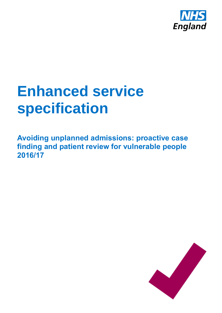

# **Enhanced service specification**

**Avoiding unplanned admissions: proactive case finding and patient review for vulnerable people 2016/17**

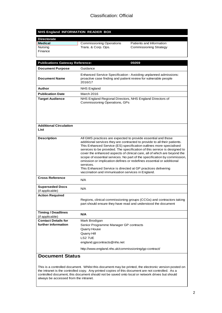#### **NHS England INFORMATION READER BOX**

| <b>Directorate</b> |                                 |                               |
|--------------------|---------------------------------|-------------------------------|
| Medical            | <b>Commissioning Operations</b> | Patients and Information      |
| <b>Nursing</b>     | Trans. & Corp. Ops.             | <b>Commissioning Strategy</b> |
| Finance            |                                 |                               |
|                    |                                 |                               |

| <b>Publications Gateway Reference:</b>       | 05059                                                                                                                                                                                                                                                                                                                                                                                                                                                                                                                                                                                                                                                           |  |
|----------------------------------------------|-----------------------------------------------------------------------------------------------------------------------------------------------------------------------------------------------------------------------------------------------------------------------------------------------------------------------------------------------------------------------------------------------------------------------------------------------------------------------------------------------------------------------------------------------------------------------------------------------------------------------------------------------------------------|--|
| <b>Document Purpose</b>                      | Guidance                                                                                                                                                                                                                                                                                                                                                                                                                                                                                                                                                                                                                                                        |  |
| <b>Document Name</b>                         | Enhanced Service Specification - Avoiding unplanned admissions:<br>proactive case finding and patient review for vulnerable people<br>2016/17                                                                                                                                                                                                                                                                                                                                                                                                                                                                                                                   |  |
| Author                                       | <b>NHS England</b>                                                                                                                                                                                                                                                                                                                                                                                                                                                                                                                                                                                                                                              |  |
| <b>Publication Date</b>                      | March 2016                                                                                                                                                                                                                                                                                                                                                                                                                                                                                                                                                                                                                                                      |  |
| <b>Target Audience</b>                       | NHS England Regional Directors, NHS England Directors of<br>Commissioning Operations, GPs                                                                                                                                                                                                                                                                                                                                                                                                                                                                                                                                                                       |  |
| <b>Additional Circulation</b><br>List        |                                                                                                                                                                                                                                                                                                                                                                                                                                                                                                                                                                                                                                                                 |  |
| <b>Description</b>                           | All GMS practices are expected to provide essential and those<br>additional services they are contracted to provide to all their patients.<br>This Enhanced Service (ES) specification outlines more specialised<br>services to be provided. The specification of this service is designed to<br>cover the enhanced aspects of clinical care, all of which are beyond the<br>scope of essential services. No part of the specification by commission,<br>omission or implication defines or redefines essential or additional<br>services.<br>This Enhanced Service is directed at GP practices delivering<br>vaccination and immunisation services in England. |  |
| <b>Cross Reference</b>                       | N/A                                                                                                                                                                                                                                                                                                                                                                                                                                                                                                                                                                                                                                                             |  |
| <b>Superseded Docs</b><br>(if applicable)    | N/A                                                                                                                                                                                                                                                                                                                                                                                                                                                                                                                                                                                                                                                             |  |
| <b>Action Required</b>                       | Regions, clinical commissioning groups (CCGs) and contractors taking<br>part should ensure they have read and understood the document                                                                                                                                                                                                                                                                                                                                                                                                                                                                                                                           |  |
| <b>Timing / Deadlines</b><br>(if applicable) | N/A                                                                                                                                                                                                                                                                                                                                                                                                                                                                                                                                                                                                                                                             |  |
| <b>Contact Details for</b>                   | Mark Brodigan                                                                                                                                                                                                                                                                                                                                                                                                                                                                                                                                                                                                                                                   |  |
| further information                          | Senior Programme Manager GP contracts                                                                                                                                                                                                                                                                                                                                                                                                                                                                                                                                                                                                                           |  |
|                                              | Quarry House                                                                                                                                                                                                                                                                                                                                                                                                                                                                                                                                                                                                                                                    |  |
|                                              | Quarry Hill                                                                                                                                                                                                                                                                                                                                                                                                                                                                                                                                                                                                                                                     |  |
|                                              | LS27UE                                                                                                                                                                                                                                                                                                                                                                                                                                                                                                                                                                                                                                                          |  |
|                                              | england.gpcontracts@nhs.net                                                                                                                                                                                                                                                                                                                                                                                                                                                                                                                                                                                                                                     |  |
|                                              | http://www.england.nhs.uk/commissioning/gp-contract/                                                                                                                                                                                                                                                                                                                                                                                                                                                                                                                                                                                                            |  |
| <b>Document Status</b>                       |                                                                                                                                                                                                                                                                                                                                                                                                                                                                                                                                                                                                                                                                 |  |

This is a controlled document. Whilst this document may be printed, the electronic version posted on the intranet is the controlled copy. Any printed copies of this document are not controlled. As a controlled document, this document should not be saved onto local or network drives but should always be accessed from the intranet.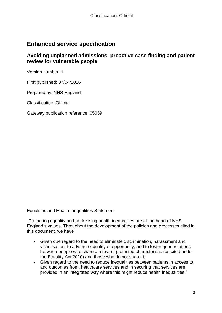## **Enhanced service specification**

#### **Avoiding unplanned admissions: proactive case finding and patient review for vulnerable people**

Version number: 1

First published: 07/04/2016

Prepared by: NHS England

Classification: Official

Gateway publication reference: 05059

Equalities and Health Inequalities Statement:

"Promoting equality and addressing health inequalities are at the heart of NHS England's values. Throughout the development of the policies and processes cited in this document, we have

- Given due regard to the need to eliminate discrimination, harassment and victimisation, to advance equality of opportunity, and to foster good relations between people who share a relevant protected characteristic (as cited under the Equality Act 2010) and those who do not share it;
- Given regard to the need to reduce inequalities between patients in access to, and outcomes from, healthcare services and in securing that services are provided in an integrated way where this might reduce health inequalities."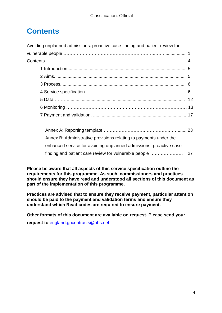## **Contents**

Avoiding unplanned admissions: proactive case finding and patient review for

| Annex B: Administrative provisions relating to payments under the  |  |
|--------------------------------------------------------------------|--|
| enhanced service for avoiding unplanned admissions: proactive case |  |
|                                                                    |  |

**Please be aware that all aspects of this service specification outline the requirements for this programme. As such, commissioners and practices should ensure they have read and understood all sections of this document as part of the implementation of this programme.** 

**Practices are advised that to ensure they receive payment, particular attention should be paid to the payment and validation terms and ensure they understand which Read codes are required to ensure payment.**

**Other formats of this document are available on request. Please send your** 

**request to** [england.gpcontracts@nhs.net](mailto:england.gpcontracts@nhs.net)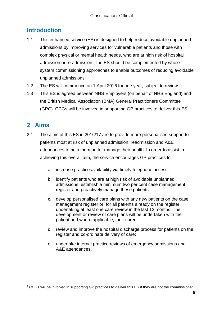## <span id="page-4-0"></span>**Introduction**

- 1.1 This enhanced service (ES) is designed to help reduce avoidable unplanned admissions by improving services for vulnerable patients and those with complex physical or mental health needs, who are at high risk of hospital admission or re-admission. The ES should be complemented by whole system commissioning approaches to enable outcomes of reducing avoidable unplanned admissions.
- 1.2 The ES will commence on 1 April 2016 for one year, subject to review.
- 1.3 This ES is agreed between NHS Employers (on behalf of NHS England) and the British Medical Association (BMA) General Practitioners Committee (GPC). CCGs will be involved in supporting GP practices to deliver this  $ES<sup>1</sup>$ .

## <span id="page-4-1"></span>**2 Aims**

- 2.1 The aims of this ES in 2016/17 are to provide more personalised support to patients most at risk of unplanned admission, readmission and A&E attendances to help them better manage their health. In order to assist in achieving this overall aim, the service encourages GP practices to:
	- a. increase practice availability via timely telephone access;
	- b. identify patients who are at high risk of avoidable unplanned admissions, establish a minimum two per cent case management register and proactively manage these patients;
	- c. develop personalised care plans with any new patients on the case management register or, for all patients already on the register undertaking at least one care review in the last 12 months. The development or review of care plans will be undertaken with the patient and where applicable, their carer.
	- d. review and improve the hospital discharge process for patients on the register and co-ordinate delivery of care;
	- e. undertake internal practice reviews of emergency admissions and A&E attendances.

<span id="page-4-2"></span><sup>1</sup>  $1$  CCGs will be involved in supporting GP practices to deliver this ES if they are not the commissioner.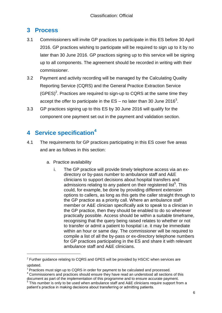#### **3 Process**

- 3.1 Commissioners will invite GP practices to participate in this ES before 30 April 2016. GP practices wishing to participate will be required to sign up to it by no later than 30 June 2016. GP practices signing up to this service will be signing up to all components. The agreement should be recorded in writing with their commissioner.
- 3.2 Payment and activity recording will be managed by the Calculating Quality Reporting Service (CQRS) and the General Practice Extraction Service (GPES)<sup>2</sup>. Practices are required to sign-up to CQRS at the same time they accept the offer to participate in the ES – no later than 30 June 2016<sup>3</sup>.
- 3.3 GP practices signing up to this ES by 30 June 2016 will qualify for the component one payment set out in the payment and validation section.

## <span id="page-5-0"></span>**4 Service specification<sup>4</sup>**

- 4.1 The requirements for GP practices participating in this ES cover five areas and are as follows in this section:
	- a. Practice availability
		- i. The GP practice will provide timely telephone access via an exdirectory or by-pass number to ambulance staff and A&E clinicians to support decisions about hospital transfers and admissions relating to any patient on their registered list<sup>5</sup>. This could, for example, be done by providing different extension options to callers, as long as this gets the caller straight through to the GP practice as a priority call. Where an ambulance staff member or A&E clinician specifically ask to speak to a clinician in the GP practice, then they should be enabled to do so whenever practically possible. Access should be within a suitable timeframe, recognising that the query being raised relates to whether or not to transfer or admit a patient to hospital i.e. it may be immediate within an hour or same day. The commissioner will be required to compile a list of all the by-pass or ex-directory telephone numbers for GP practices participating in the ES and share it with relevant ambulance staff and A&E clinicians.

 $2$  Further guidance relating to CQRS and GPES will be provided by HSCIC when services are updated.

<sup>&</sup>lt;sup>3</sup> Practices must sign up to CQRS in order for payment to be calculated and processed.

<sup>4</sup> Commissioners and practices should ensure they have read an understood all sections of this document as part of the implementation of this programme and to ensure accurate payment.

<sup>&</sup>lt;sup>5</sup> This number is only to be used when ambulance staff and A&E clinicians require support from a patient's practice in making decisions about transferring or admitting patients.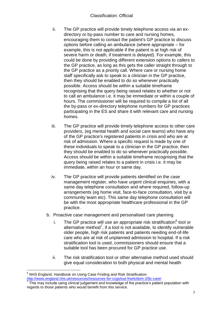- ii. The GP practice will provide timely telephone access via an exdirectory or by-pass number to care and nursing homes, encouraging them to contact the patient's GP practice to discuss options before calling an ambulance (where appropriate – for example, this is not applicable if the patient is at high risk of severe harm or death, if treatment is delayed). For example, this could be done by providing different extension options to callers to the GP practice, as long as this gets the caller straight through to the GP practice as a priority call. Where care or nursing home staff specifically ask to speak to a clinician in the GP practice, then they should be enabled to do so whenever practically possible. Access should be within a suitable timeframe recognising that the query being raised relates to whether or not to call an ambulance i.e. it may be immediate or within a couple of hours. The commissioner will be required to compile a list of all the by-pass or ex-directory telephone numbers for GP practices participating in the ES and share it with relevant care and nursing homes.
- iii. The GP practice will provide timely telephone access to other care providers, (eg mental health and social care teams) who have any of the GP practice's registered patients in crisis and who are at risk of admission. Where a specific request is made by one of these individuals to speak to a clinician in the GP practice, then they should be enabled to do so whenever practically possible. Access should be within a suitable timeframe recognising that the query being raised relates to a patient in crisis i.e. it may be immediate, within an hour or same day.
- iv. The GP practice will provide patients identified on the case management register, who have urgent clinical enquiries, with a same day telephone consultation and where required, follow-up arrangements (eg home visit, face-to-face consultation, visit by a community team etc). This same day telephone consultation will be with the most appropriate healthcare professional in the GP practice.
- b. Proactive case management and personalised care planning
	- i. The GP practice will use an appropriate risk stratification $<sup>6</sup>$  tool or</sup> alternative method<sup>7</sup>, if a tool is not available, to identify vulnerable older people, high risk patients and patients needing end-of-life care who are at risk of unplanned admission to hospital. If a risk stratification tool is used, commissioners should ensure that a suitable tool has been procured for GP practice use.
	- ii. The risk stratification tool or other alternative method used should give equal consideration to both physical and mental health

<sup>1</sup> <sup>6</sup> NHS England. Handbook on Using Case Finding and Risk Stratification. <http://www.england.nhs.uk/resources/resources-for-ccgs/out-frwrk/dom-2/ltc-care/>

 $<sup>7</sup>$  This may include using clinical judgement and knowledge of the practice's patient population with</sup> regards to those patients who would benefit from this service.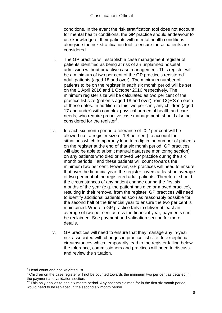conditions. In the event the risk stratification tool does not account for mental health conditions, the GP practice should endeavour to use knowledge of their patients with mental health conditions alongside the risk stratification tool to ensure these patients are considered.

- iii. The GP practice will establish a case management register of patients identified as being at risk of an unplanned hospital admission without proactive case management. This register will be a minimum of two per cent of the GP practice's registered<sup>8</sup> adult patients (aged 18 and over). The minimum number of patients to be on the register in each six month period will be set on the 1 April 2016 and 1 October 2016 respectively. The minimum register size will be calculated as two per cent of the practice list size (patients aged 18 and over) from CQRS on each of these dates. In addition to this two per cent, any children (aged 17 and under) with complex physical or mental health and care needs, who require proactive case management, should also be considered for the register<sup>9</sup>.
- iv. In each six month period a tolerance of -0.2 per cent will be allowed (i.e. a register size of 1.8 per cent) to account for situations which temporarily lead to a dip in the number of patients on the register at the end of that six month period. GP practices will also be able to submit manual data (see monitoring section) on any patients who died or moved GP practice during the six month periods<sup>10</sup> and these patients will count towards the minimum two per cent. However, GP practices will need to ensure that over the financial year, the register covers at least an average of two per cent of the registered adult patients. Therefore, should the circumstances of any patient change during the first six months of the year (e.g. the patient has died or moved practice), resulting in their removal from the register, GP practices will need to identify additional patients as soon as reasonably possible for the second half of the financial year to ensure the two per cent is maintained. Where a GP practice fails to deliver at least an average of two per cent across the financial year, payments can be reclaimed. See payment and validation section for more details.
- v. GP practices will need to ensure that they manage any in-year risk associated with changes in practice list size. In exceptional circumstances which temporarily lead to the register falling below the tolerance, commissioners and practices will need to discuss and review the situation.

<sup>1</sup>  $8$  Head count and not weighted list.

<sup>&</sup>lt;sup>9</sup> Children on the case register will not be counted towards the minimum two per cent as detailed in the payment and validation section.

 $10$  This only applies to one six month period. Any patients claimed for in the first six month period would need to be replaced in the second six month period.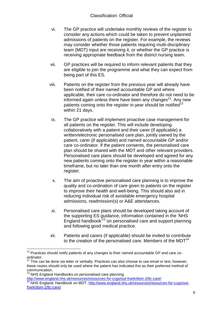- vi. The GP practice will undertake monthly reviews of the register to consider any actions which could be taken to prevent unplanned admissions of patients on the register. For example, the reviews may consider whether those patients requiring multi-disciplinary team (MDT) input are receiving it, or whether the GP practice is receiving appropriate feedback from the district nursing team.
- vii. GP practices will be required to inform relevant patients that they are eligible to join the programme and what they can expect from being part of this ES.
- viii. Patients on the register from the previous year will already have been notified of their named accountable GP and where applicable, their care co-ordinator and therefore do not need to be informed again unless there have been any changes<sup>11</sup>. Any new patients coming onto the register in-year should be notified<sup>12</sup> within 21 days.
- ix. The GP practice will implement proactive case management for all patients on the register. This will include developing collaboratively with a patient and their carer (if applicable) a written/electronic personalised care plan, jointly owned by the patient, carer (if applicable) and named accountable GP and/or care co-ordinator. If the patient consents, the personalised care plan should be shared with the MDT and other relevant providers. Personalised care plans should be developed and agreed for any new patients coming onto the register in year within a reasonable timeframe, but no later than one month after entry onto the register.
- x. The aim of proactive personalised care planning is to improve the quality and co-ordination of care given to patients on the register to improve their health and well-being. This should also aid in reducing individual risk of avoidable emergency hospital admissions, readmission(s) or A&E attendances.
- xi. Personalised care plans should be developed taking account of the supporting ES guidance, information contained in the 'NHS England handbook' <sup>13</sup> on personalised care and support planning and following good medical practice.
- xii. Patients and carers (if applicable) should be invited to contribute to the creation of the personalised care. Members of the  $MDT<sup>14</sup>$

 $11$  Practices should notify patients of any changes to their named accountable GP and care coordinator.

This can be done via letter or verbally. Practices can also choose to use email or text, however, these routes should only be used where the patient has indicated this as their preferred method of communication.

NHS England Handbooks on personalised care planning.

<http://www.england.nhs.uk/resources/resources-for-ccgs/out-frwrk/dom-2/ltc-care/>

NHS England. Handbook on MDT. [http://www.england.nhs.uk/resources/resources-for-ccgs/out](http://www.england.nhs.uk/resources/resources-for-ccgs/out-frwrk/dom-2/ltc-care/)[frwrk/dom-2/ltc-care/](http://www.england.nhs.uk/resources/resources-for-ccgs/out-frwrk/dom-2/ltc-care/)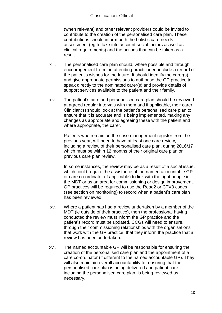(when relevant) and other relevant providers could be invited to contribute to the creation of the personalised care plan. These contributions should inform both the holistic care needs assessment (eg to take into account social factors as well as clinical requirements) and the actions that can be taken as a result.

- xiii. The personalised care plan should, where possible and through encouragement from the attending practitioner, include a record of the patient's wishes for the future. It should identify the carer(s) and give appropriate permissions to authorise the GP practice to speak directly to the nominated carer(s) and provide details of support services available to the patient and their family.
- xiv. The patient's care and personalised care plan should be reviewed at agreed regular intervals with them and if applicable, their carer. Clinician(s) should look at the patient's personalised care plan to ensure that it is accurate and is being implemented, making any changes as appropriate and agreeing these with the patient and where appropriate, the carer.

Patients who remain on the case management register from the previous year, will need to have at least one care review, including a review of their personalised care plan, during 2016/17 which must be within 12 months of their original care plan or previous care plan review.

In some instances, the review may be as a result of a social issue, which could require the assistance of the named accountable GP or care co-ordinator (if applicable) to link with the right people in the MDT or as an area for commissioning or design improvement. GP practices will be required to use the Read2 or CTV3 codes (see section on monitoring) to record when a patient's care plan has been reviewed.

- xv. Where a patient has had a review undertaken by a member of the MDT (ie outside of their practice), then the professional having conducted the review must inform the GP practice and the patient's record must be updated. CCGs will need to ensure, through their commissioning relationships with the organisations that work with the GP practice, that they inform the practice that a review has been undertaken.
- xvi. The named accountable GP will be responsible for ensuring the creation of the personalised care plan and the appointment of a care co-ordinator (if different to the named accountable GP). They will also maintain overall accountability for ensuring that the personalised care plan is being delivered and patient care, including the personalised care plan, is being reviewed as necessary.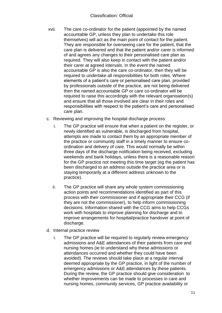- xvii. The care co-ordinator for the patient (appointed by the named accountable GP, unless they plan to undertake this role themselves) will act as the main point of contact for the patient. They are responsible for overseeing care for the patient, that the care plan is delivered and that the patient and/or carer is informed of and agrees any changes to their personalised care plan as required. They will also keep in contact with the patient and/or their carer at agreed intervals. In the event the named accountable GP is also the care co-ordinator, then they will be required to undertake all responsibilities for both roles. Where elements of a patient's care or personalised care plan, provided by professionals outside of the practice, are not being delivered then the named accountable GP or care co-ordinator will be required to raise this accordingly with the relevant organisation(s) and ensure that all those involved are clear in their roles and responsibilities with respect to the patient's care and personalised care plan.
- c. Reviewing and improving the hospital discharge process
	- i. The GP practice will ensure that when a patient on the register, or newly identified as vulnerable, is discharged from hospital, attempts are made to contact them by an appropriate member of the practice or community staff in a timely manner to ensure coordination and delivery of care. This would normally be within three days of the discharge notification being received, excluding weekends and bank holidays, unless there is a reasonable reason for the GP practice not meeting this time target (eg the patient has been discharged to an address outside the practice area or is staying temporarily at a different address unknown to the practice).
	- ii. The GP practice will share any whole system commissioning action points and recommendations identified as part of this process with their commissioner and if appropriate their CCG (if they are not the commissioner), to help inform commissioning decisions. Information shared with the CCG aims to help CCGs work with hospitals to improve planning for discharge and to improve arrangements for hospital/practice handover at point of discharge.
- d. Internal practice review
	- i. The GP practice will be required to regularly review emergency admissions and A&E attendances of their patients from care and nursing homes (ie to understand why these admissions or attendances occurred and whether they could have been avoided). The reviews should take place at a regular interval deemed appropriate by the GP practice, in light of the number of emergency admissions or A&E attendances by these patients. During the review, the GP practice should give consideration to whether improvements can be made to processes in care and nursing homes, community services, GP practice availability or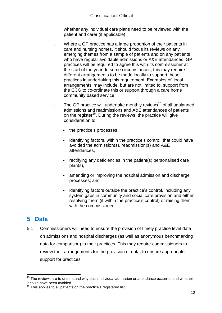whether any individual care plans need to be reviewed with the patient and carer (if applicable).

- ii. Where a GP practice has a large proportion of their patients in care and nursing homes, it should focus its reviews on any emerging themes from a sample of patients and on any patients who have regular avoidable admissions or A&E attendances. GP practices will be required to agree this with its commissioner at the start of the year. In some circumstances, this may require different arrangements to be made locally to support these practices in undertaking this requirement. Examples of 'local arrangements' may include, but are not limited to, support from the CCG to co-ordinate this or support through a care home community based service.
- iii. The GP practice will undertake monthly reviews<sup>15</sup> of all unplanned admissions and readmissions and A&E attendances of patients on the register<sup>16</sup>. During the reviews, the practice will give consideration to:
	- the practice's processes,
	- identifying factors, within the practice's control, that could have avoided the admission(s), readmission(s) and A&E attendances,
	- rectifying any deficiencies in the patient(s) personalised care plan(s),
	- amending or improving the hospital admission and discharge processes; and
	- identifying factors outside the practice's control, including any system gaps in community and social care provision and either resolving them (if within the practice's control) or raising them with the commissioner.

## <span id="page-11-0"></span>**5 Data**

5.1 Commissioners will need to ensure the provision of timely practice level data on admissions and hospital discharges (as well as anonymous benchmarking data for comparison) to their practices. This may require commissioners to review their arrangements for the provision of data, to ensure appropriate support for practices.

<sup>1</sup>  $15$  The reviews are to understand why each individual admission or attendance occurred and whether it could have been avoided.

This applies to all patients on the practice's registered list.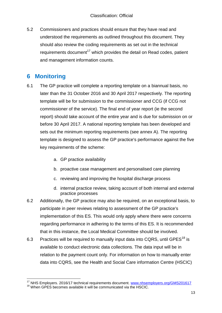5.2 Commissioners and practices should ensure that they have read and understood the requirements as outlined throughout this document. They should also review the coding requirements as set out in the technical requirements document<sup>17</sup> which provides the detail on Read codes, patient and management information counts.

## <span id="page-12-0"></span>**6 Monitoring**

- 6.1 The GP practice will complete a reporting template on a biannual basis, no later than the 31 October 2016 and 30 April 2017 respectively. The reporting template will be for submission to the commissioner and CCG (if CCG not commissioner of the service). The final end of year report (ie the second report) should take account of the entire year and is due for submission on or before 30 April 2017. A national reporting template has been developed and sets out the minimum reporting requirements (see annex A). The reporting template is designed to assess the GP practice's performance against the five key requirements of the scheme:
	- a. GP practice availability
	- b. proactive case management and personalised care planning
	- c. reviewing and improving the hospital discharge process
	- d. internal practice review, taking account of both internal and external practice processes
- 6.2 Additionally, the GP practice may also be required, on an exceptional basis, to participate in peer reviews relating to assessment of the GP practice's implementation of this ES. This would only apply where there were concerns regarding performance in adhering to the terms of this ES. It is recommended that in this instance, the Local Medical Committee should be involved.
- 6.3 Practices will be required to manually input data into CQRS, until GPES<sup>18</sup> is available to conduct electronic data collections. The data input will be in relation to the payment count only. For information on how to manually enter data into CQRS, see the Health and Social Care information Centre (HSCIC)

<sup>&</sup>lt;sup>17</sup> NHS Employers. 2016/17 technical requirements document. [www.nhsemployers.org/GMS201617](http://www.nhsemployers.org/GMS201617)

<sup>&</sup>lt;sup>18</sup> When GPES becomes available it will be communicated via the HSCIC.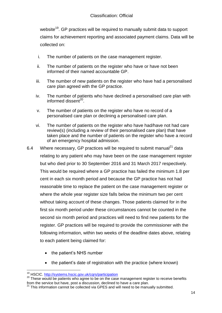website<sup>19</sup>. GP practices will be required to manually submit data to support claims for achievement reporting and associated payment claims. Data will be collected on:

- i. The number of patients on the case management register.
- ii. The number of patients on the register who have or have not been informed of their named accountable GP.
- iii. The number of new patients on the register who have had a personalised care plan agreed with the GP practice.
- iv. The number of patients who have declined a personalised care plan with informed dissent<sup>20</sup>.
- v. The number of patients on the register who have no record of a personalised care plan or declining a personalised care plan.
- vi. The number of patients on the register who have had/have not had care review(s) (including a review of their personalised care plan) that have taken place and the number of patients on the register who have a record of an emergency hospital admission.
- 6.4 Where necessary, GP practices will be required to submit manual $^{21}$  data relating to any patient who may have been on the case management register but who died prior to 30 September 2016 and 31 March 2017 respectively. This would be required where a GP practice has failed the minimum 1.8 per cent in each six month period and because the GP practice has not had reasonable time to replace the patient on the case management register or where the whole year register size falls below the minimum two per cent without taking account of these changes. Those patients claimed for in the first six month period under these circumstances cannot be counted in the second six month period and practices will need to find new patients for the register. GP practices will be required to provide the commissioner with the following information, within two weeks of the deadline dates above, relating to each patient being claimed for:
	- the patient's NHS number
	- the patient's date of registration with the practice (where known)

<sup>1</sup> <sup>19</sup> HSCIC.<http://systems.hscic.gov.uk/cqrs/participation>

<sup>&</sup>lt;sup>20</sup> These would be patients who agree to be on the case management register to receive benefits from the service but have, post a discussion, declined to have a care plan.

<sup>21</sup> This information cannot be collected via GPES and will need to be manually submitted.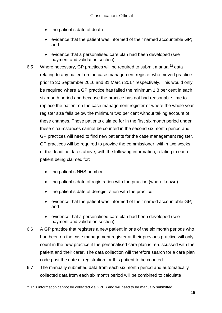- the patient's date of death
- $\bullet$  evidence that the patient was informed of their named accountable GP; and
- evidence that a personalised care plan had been developed (see payment and validation section).

6.5 Where necessary, GP practices will be required to submit manual<sup>22</sup> data relating to any patient on the case management register who moved practice prior to 30 September 2016 and 31 March 2017 respectively. This would only be required where a GP practice has failed the minimum 1.8 per cent in each six month period and because the practice has not had reasonable time to replace the patient on the case management register or where the whole year register size falls below the minimum two per cent without taking account of these changes. Those patients claimed for in the first six month period under these circumstances cannot be counted in the second six month period and GP practices will need to find new patients for the case management register. GP practices will be required to provide the commissioner, within two weeks of the deadline dates above, with the following information, relating to each patient being claimed for:

- the patient's NHS number
- the patient's date of registration with the practice (where known)
- the patient's date of deregistration with the practice
- $\bullet$  evidence that the patient was informed of their named accountable GP; and
- evidence that a personalised care plan had been developed (see payment and validation section).
- 6.6 A GP practice that registers a new patient in one of the six month periods who had been on the case management register at their previous practice will only count in the new practice if the personalised care plan is re-discussed with the patient and their carer. The data collection will therefore search for a care plan code post the date of registration for this patient to be counted.
- 6.7 The manually submitted data from each six month period and automatically collected data from each six month period will be combined to calculate

<sup>1</sup>  $^{22}$  This information cannot be collected via GPES and will need to be manually submitted.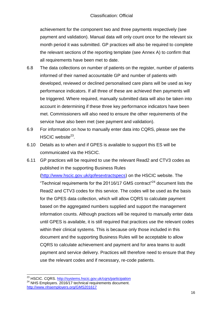achievement for the component two and three payments respectively (see payment and validation). Manual data will only count once for the relevant six month period it was submitted. GP practices will also be required to complete the relevant sections of the reporting template (see Annex A) to confirm that all requirements have been met to date.

- 6.8 The data collections on number of patients on the register, number of patients informed of their named accountable GP and number of patients with developed, reviewed or declined personalised care plans will be used as key performance indicators. If all three of these are achieved then payments will be triggered. Where required, manually submitted data will also be taken into account in determining if these three key performance indicators have been met. Commissioners will also need to ensure the other requirements of the service have also been met (see payment and validation).
- 6.9 For information on how to manually enter data into CQRS, please see the HSCIC website<sup>23</sup>.
- 6.10 Details as to when and if GPES is available to support this ES will be communicated via the HSCIC.
- 6.11 GP practices will be required to use the relevant Read2 and CTV3 codes as published in the supporting Business Rules

(http://www.hscic.gov.uk/qofesextractspecs) on the HSCIC website. The "Technical requirements for the 20116/17 GMS contract"<sup>24</sup> document lists the Read2 and CTV3 codes for this service. The codes will be used as the basis for the GPES data collection, which will allow CQRS to calculate payment based on the aggregated numbers supplied and support the management information counts. Although practices will be required to manually enter data until GPES is available, it is still required that practices use the relevant codes within their clinical systems. This is because only those included in this document and the supporting Business Rules will be acceptable to allow CQRS to calculate achievement and payment and for area teams to audit payment and service delivery. Practices will therefore need to ensure that they use the relevant codes and if necessary, re-code patients.

<sup>1</sup> <sup>23</sup> HSCIC. CQRS.<http://systems.hscic.gov.uk/cqrs/participation>

<sup>&</sup>lt;sup>24</sup> NHS Employers. 2016/17 technical requirements document. <http://www.nhsemployers.org/GMS201617>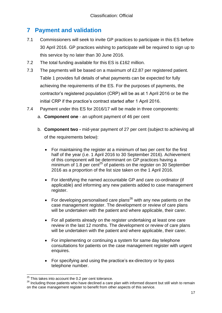## <span id="page-16-0"></span>**7 Payment and validation**

- 7.1 Commissioners will seek to invite GP practices to participate in this ES before 30 April 2016. GP practices wishing to participate will be required to sign up to this service by no later than 30 June 2016.
- 7.2 The total funding available for this ES is £162 million.
- 7.3 The payments will be based on a maximum of £2.87 per registered patient. Table 1 provides full details of what payments can be expected for fully achieving the requirements of the ES. For the purposes of payments, the contractor's registered population (CRP) will be as at 1 April 2016 or be the initial CRP if the practice's contract started after 1 April 2016.
- 7.4 Payment under this ES for 2016/17 will be made in three components:
	- a. **Component one** an upfront payment of 46 per cent
	- b. **Component two -** mid-year payment of 27 per cent (subject to achieving all of the requirements below):
		- For maintaining the register at a minimum of two per cent for the first half of the year (i.e. 1 April 2016 to 30 September 2016). Achievement of this component will be determinant on GP practices having a minimum of 1.8 per cent<sup>25</sup> of patients on the register on 30 September 2016 as a proportion of the list size taken on the 1 April 2016.
		- For identifying the named accountable GP and care co-ordinator (if applicable) and informing any new patients added to case management register.
		- For developing personalised care plans<sup>26</sup> with any new patients on the case management register. The development or review of care plans will be undertaken with the patient and where applicable, their carer.
		- For all patients already on the register undertaking at least one care review in the last 12 months. The development or review of care plans will be undertaken with the patient and where applicable, their carer.
		- For implementing or continuing a system for same day telephone consultations for patients on the case management register with urgent enquires.
		- For specifying and using the practice's ex-directory or by-pass telephone number.

<sup>1</sup>  $25$  This takes into account the 0.2 per cent tolerance.

<sup>&</sup>lt;sup>26</sup> Including those patients who have declined a care plan with informed dissent but still wish to remain on the case management register to benefit from other aspects of this service.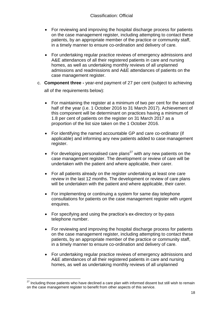- For reviewing and improving the hospital discharge process for patients on the case management register, including attempting to contact these patients, by an appropriate member of the practice or community staff, in a timely manner to ensure co-ordination and delivery of care.
- For undertaking regular practice reviews of emergency admissions and A&E attendances of all their registered patients in care and nursing homes, as well as undertaking monthly reviews of all unplanned admissions and readmissions and A&E attendances of patients on the case management register.
- c. **Component three -** year-end payment of 27 per cent (subject to achieving all of the requirements below):
	- For maintaining the register at a minimum of two per cent for the second half of the year (i.e. 1 October 2016 to 31 March 2017). Achievement of this component will be determinant on practices having a minimum of 1.8 per cent of patients on the register on 31 March 2017 as a proportion of the list size taken on the 1 October 2016.
	- For identifying the named accountable GP and care co-ordinator (if applicable) and informing any new patients added to case management register.
	- For developing personalised care plans<sup>27</sup> with any new patients on the case management register. The development or review of care will be undertaken with the patient and where applicable, their carer.
	- For all patients already on the register undertaking at least one care review in the last 12 months. The development or review of care plans will be undertaken with the patient and where applicable, their carer.
	- For implementing or continuing a system for same day telephone consultations for patients on the case management register with urgent enquires.
	- For specifying and using the practice's ex-directory or by-pass telephone number.
	- For reviewing and improving the hospital discharge process for patients on the case management register, including attempting to contact these patients, by an appropriate member of the practice or community staff, in a timely manner to ensure co-ordination and delivery of care.
	- For undertaking regular practice reviews of emergency admissions and A&E attendances of all their registered patients in care and nursing homes, as well as undertaking monthly reviews of all unplanned

Including those patients who have declined a care plan with informed dissent but still wish to remain on the case management register to benefit from other aspects of this service.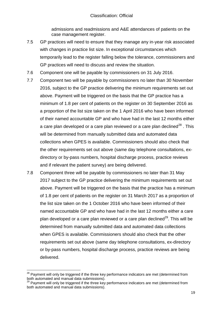admissions and readmissions and A&E attendances of patients on the case management register.

- 7.5 GP practices will need to ensure that they manage any in-year risk associated with changes in practice list size. In exceptional circumstances which temporarily lead to the register falling below the tolerance, commissioners and GP practices will need to discuss and review the situation.
- 7.6 Component one will be payable by commissioners on 31 July 2016.
- 7.7 Component two will be payable by commissioners no later than 30 November 2016, subject to the GP practice delivering the minimum requirements set out above. Payment will be triggered on the basis that the GP practice has a minimum of 1.8 per cent of patients on the register on 30 September 2016 as a proportion of the list size taken on the 1 April 2016 who have been informed of their named accountable GP and who have had in the last 12 months either a care plan developed or a care plan reviewed or a care plan declined<sup>28</sup>. This will be determined from manually submitted data and automated data collections when GPES is available. Commissioners should also check that the other requirements set out above (same day telephone consultations, exdirectory or by-pass numbers, hospital discharge process, practice reviews and if relevant the patient survey) are being delivered.
- 7.8 Component three will be payable by commissioners no later than 31 May 2017 subject to the GP practice delivering the minimum requirements set out above. Payment will be triggered on the basis that the practice has a minimum of 1.8 per cent of patients on the register on 31 March 2017 as a proportion of the list size taken on the 1 October 2016 who have been informed of their named accountable GP and who have had in the last 12 months either a care plan developed or a care plan reviewed or a care plan declined<sup>29</sup>. This will be determined from manually submitted data and automated data collections when GPES is available. Commissioners should also check that the other requirements set out above (same day telephone consultations, ex-directory or by-pass numbers, hospital discharge process, practice reviews are being delivered.

 $28$  Payment will only be triggered if the three key performance indicators are met (determined from both automated and manual data submissions).

<sup>&</sup>lt;sup>29</sup> Payment will only be triggered if the three key performance indicators are met (determined from both automated and manual data submissions).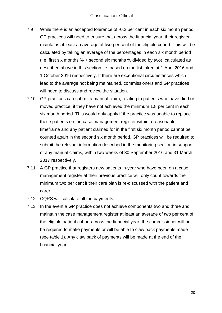- 7.9 While there is an accepted tolerance of -0.2 per cent in each six month period, GP practices will need to ensure that across the financial year, their register maintains at least an average of two per cent of the eligible cohort. This will be calculated by taking an average of the percentages in each six month period (i.e. first six months % + second six months % divided by two), calculated as described above in this section i.e. based on the list taken at 1 April 2016 and 1 October 2016 respectively. If there are exceptional circumstances which lead to the average not being maintained, commissioners and GP practices will need to discuss and review the situation.
- 7.10 GP practices can submit a manual claim, relating to patients who have died or moved practice, if they have not achieved the minimum 1.8 per cent in each six month period. This would only apply if the practice was unable to replace these patients on the case management register within a reasonable timeframe and any patient claimed for in the first six month period cannot be counted again in the second six month period. GP practices will be required to submit the relevant information described in the monitoring section in support of any manual claims, within two weeks of 30 September 2016 and 31 March 2017 respectively.
- 7.11 A GP practice that registers new patients in-year who have been on a case management register at their previous practice will only count towards the minimum two per cent if their care plan is re-discussed with the patient and carer.
- 7.12 CQRS will calculate all the payments.
- 7.13 In the event a GP practice does not achieve components two and three and maintain the case management register at least an average of two per cent of the eligible patient cohort across the financial year, the commissioner will not be required to make payments or will be able to claw back payments made (see table 1). Any claw back of payments will be made at the end of the financial year.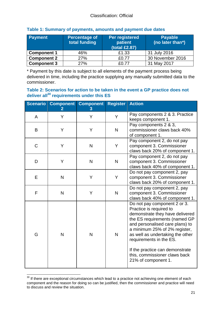| Payment            | <b>Percentage of</b><br>total funding | Per registered<br>patient<br>(total £2.87) | <b>Payable</b><br>(no later than*) |
|--------------------|---------------------------------------|--------------------------------------------|------------------------------------|
| <b>Component 1</b> | 46%                                   | £1.33                                      | 31 July 2016                       |
| <b>Component 2</b> | 27%                                   | £0.77                                      | 30 November 2016                   |
| <b>Component 3</b> | 27%                                   | <u>  የበ 77</u>                             | 31 May 2017                        |

#### **Table 1: Summary of payments, amounts and payment due dates**

\* Payment by this date is subject to all elements of the payment process being delivered in time, including the practice supplying any manually submitted data to the commissioner.

#### **Table 2: Scenarios for action to be taken in the event a GP practice does not deliver all<sup>30</sup> requirements under this ES**

| <b>Scenario</b> | <b>Component</b><br>$\overline{2}$ | <b>Component</b><br>3 | <b>Register</b>                                                                         | <b>Action</b>                                                                                                                                                                                                                                                                                                                                             |
|-----------------|------------------------------------|-----------------------|-----------------------------------------------------------------------------------------|-----------------------------------------------------------------------------------------------------------------------------------------------------------------------------------------------------------------------------------------------------------------------------------------------------------------------------------------------------------|
| A               | Y                                  | Y                     | Y                                                                                       | Pay components 2 & 3. Practice<br>keeps component 1.                                                                                                                                                                                                                                                                                                      |
| B               | Y                                  | Y                     | Pay components 2 & 3,<br>commissioner claws back 40%<br>$\mathsf{N}$<br>of component 1. |                                                                                                                                                                                                                                                                                                                                                           |
| C               | Y                                  | N                     | Y                                                                                       | Pay component 2, do not pay<br>component 3. Commissioner<br>claws back 20% of component 1.                                                                                                                                                                                                                                                                |
| D               | Y                                  | N                     | $\mathsf{N}$                                                                            | Pay component 2, do not pay<br>component 3. Commissioner<br>claws back 40% of component 1.                                                                                                                                                                                                                                                                |
| E               | N                                  | Y                     | Y                                                                                       | Do not pay component 2, pay<br>component 3. Commissioner<br>claws back 20% of component 1.                                                                                                                                                                                                                                                                |
| F               | N                                  | Y                     | N                                                                                       | Do not pay component 2, pay<br>component 3. Commissioner<br>claws back 40% of component 1.                                                                                                                                                                                                                                                                |
| G               | N                                  | N                     | $\mathsf{N}$                                                                            | Do not pay component 2 or 3.<br>Practice is required to<br>demonstrate they have delivered<br>the ES requirements (named GP<br>and personalised care plans) to<br>a minimum 25% of 2% register,<br>as well as undertaking the other<br>requirements in the ES.<br>If the practice can demonstrate<br>this, commissioner claws back<br>21% of component 1. |

<sup>1</sup>  $30$  If there are exceptional circumstances which lead to a practice not achieving one element of each component and the reason for doing so can be justified, then the commissioner and practice will need to discuss and review the situation.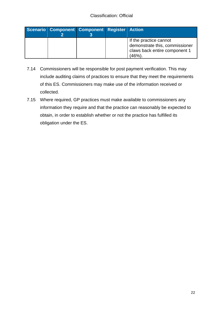|  | Scenario Component Component Register Action |                                                                                                   |
|--|----------------------------------------------|---------------------------------------------------------------------------------------------------|
|  |                                              | If the practice cannot<br>demonstrate this, commissioner<br>claws back entire component 1<br>(46% |

- 7.14 Commissioners will be responsible for post payment verification. This may include auditing claims of practices to ensure that they meet the requirements of this ES. Commissioners may make use of the information received or collected.
- 7.15 Where required, GP practices must make available to commissioners any information they require and that the practice can reasonably be expected to obtain, in order to establish whether or not the practice has fulfilled its obligation under the ES.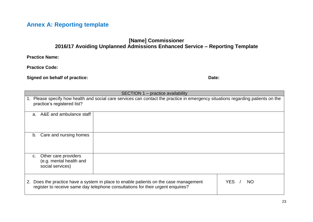## **Annex A: Reporting template**

#### **[Name] Commissioner 2016/17 Avoiding Unplanned Admissions Enhanced Service – Reporting Template**

**Practice Name:** 

**Practice Code:** 

**Signed on behalf of practice:** Date: Date: Date: Date: Date: Date: Date: Date: Date: Date: Date: Date: Date: Date: Date: Date: Date: Date: Date: Date: Date: Date: Date: Date: Date: Date: Date: Date: Date: Date: Date: Date

<span id="page-22-0"></span>

| SECTION 1 – practice availability                                                                                                                                           |                   |  |  |
|-----------------------------------------------------------------------------------------------------------------------------------------------------------------------------|-------------------|--|--|
| Please specify how health and social care services can contact the practice in emergency situations regarding patients on the<br>1.<br>practice's registered list?          |                   |  |  |
| a. A&E and ambulance staff                                                                                                                                                  |                   |  |  |
| Care and nursing homes<br>b.                                                                                                                                                |                   |  |  |
| Other care providers<br>$C_{\cdot}$<br>(e.g. mental health and<br>social services)                                                                                          |                   |  |  |
| Does the practice have a system in place to enable patients on the case management<br>2.<br>register to receive same day telephone consultations for their urgent enquires? | <b>YES</b><br>NO. |  |  |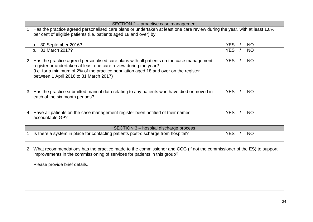| SECTION 2 - proactive case management                                                                                                                                                                                                                                                              |                         |  |  |  |
|----------------------------------------------------------------------------------------------------------------------------------------------------------------------------------------------------------------------------------------------------------------------------------------------------|-------------------------|--|--|--|
| 1. Has the practice agreed personalised care plans or undertaken at least one care review during the year, with at least 1.8%<br>per cent of eligible patients (i.e. patients aged 18 and over) by:                                                                                                |                         |  |  |  |
| 30 September 2016?<br>a.                                                                                                                                                                                                                                                                           | <b>YES</b><br><b>NO</b> |  |  |  |
| 31 March 2017?<br>b.                                                                                                                                                                                                                                                                               | <b>YES</b><br><b>NO</b> |  |  |  |
| 2. Has the practice agreed personalised care plans with all patients on the case management<br>register or undertaken at least one care review during the year?<br>(i.e. for a minimum of 2% of the practice population aged 18 and over on the register<br>between 1 April 2016 to 31 March 2017) | <b>YES</b><br><b>NO</b> |  |  |  |
| 3. Has the practice submitted manual data relating to any patients who have died or moved in<br>each of the six month periods?                                                                                                                                                                     | <b>YES</b><br><b>NO</b> |  |  |  |
| 4. Have all patients on the case management register been notified of their named<br>accountable GP?                                                                                                                                                                                               | <b>YES</b><br><b>NO</b> |  |  |  |
| SECTION 3 - hospital discharge process                                                                                                                                                                                                                                                             |                         |  |  |  |
| 1. Is there a system in place for contacting patients post-discharge from hospital?                                                                                                                                                                                                                | <b>YES</b><br><b>NO</b> |  |  |  |
| 2. What recommendations has the practice made to the commissioner and CCG (if not the commissioner of the ES) to support<br>improvements in the commissioning of services for patients in this group?<br>Please provide brief details.                                                             |                         |  |  |  |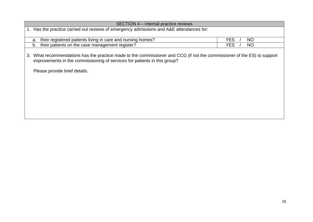| SECTION 4 – internal practice reviews                                                                                                                                                                                                     |                         |  |
|-------------------------------------------------------------------------------------------------------------------------------------------------------------------------------------------------------------------------------------------|-------------------------|--|
| Has the practice carried out reviews of emergency admissions and A&E attendances for:                                                                                                                                                     |                         |  |
|                                                                                                                                                                                                                                           |                         |  |
| their registered patients living in care and nursing homes?<br>a.                                                                                                                                                                         | <b>YES</b><br><b>NO</b> |  |
| their patients on the case management register?<br>b.                                                                                                                                                                                     | <b>YES</b><br><b>NO</b> |  |
| What recommendations has the practice made to the commissioner and CCG (if not the commissioner of the ES) to support<br>3.<br>improvements in the commissioning of services for patients in this group?<br>Please provide brief details. |                         |  |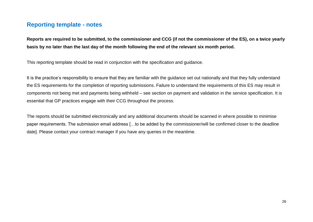#### **Reporting template - notes**

**Reports are required to be submitted, to the commissioner and CCG (if not the commissioner of the ES), on a twice yearly basis by no later than the last day of the month following the end of the relevant six month period.** 

This reporting template should be read in conjunction with the specification and guidance.

It is the practice's responsibility to ensure that they are familiar with the guidance set out nationally and that they fully understand the ES requirements for the completion of reporting submissions. Failure to understand the requirements of this ES may result in components not being met and payments being withheld – see section on payment and validation in the service specification. It is essential that GP practices engage with their CCG throughout the process.

The reports should be submitted electronically and any additional documents should be scanned in where possible to minimise paper requirements. The submission email address […to be added by the commissioner/will be confirmed closer to the deadline date]. Please contact your contract manager if you have any queries in the meantime.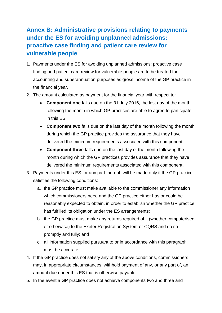## <span id="page-26-0"></span>**Annex B: Administrative provisions relating to payments under the ES for avoiding unplanned admissions: proactive case finding and patient care review for vulnerable people**

- 1. Payments under the ES for avoiding unplanned admissions: proactive case finding and patient care review for vulnerable people are to be treated for accounting and superannuation purposes as gross income of the GP practice in the financial year.
- 2. The amount calculated as payment for the financial year with respect to:
	- **Component one** falls due on the 31 July 2016, the last day of the month following the month in which GP practices are able to agree to participate in this ES.
	- **Component two** falls due on the last day of the month following the month during which the GP practice provides the assurance that they have delivered the minimum requirements associated with this component.
	- **Component three** falls due on the last day of the month following the month during which the GP practices provides assurance that they have delivered the minimum requirements associated with this component.
- 3. Payments under this ES, or any part thereof, will be made only if the GP practice satisfies the following conditions:
	- a. the GP practice must make available to the commissioner any information which commissioners need and the GP practice either has or could be reasonably expected to obtain, in order to establish whether the GP practice has fulfilled its obligation under the ES arrangements;
	- b. the GP practice must make any returns required of it (whether computerised or otherwise) to the Exeter Registration System or CQRS and do so promptly and fully; and
	- c. all information supplied pursuant to or in accordance with this paragraph must be accurate.
- 4. If the GP practice does not satisfy any of the above conditions, commissioners may, in appropriate circumstances, withhold payment of any, or any part of, an amount due under this ES that is otherwise payable.
- 5. In the event a GP practice does not achieve components two and three and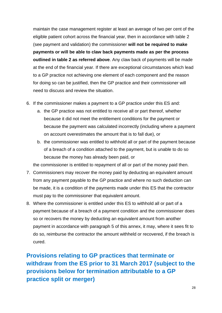maintain the case management register at least an average of two per cent of the eligible patient cohort across the financial year, then in accordance with table 2 (see payment and validation) the commissioner **will not be required to make payments or will be able to claw back payments made as per the process outlined in table 2 as referred above**. Any claw back of payments will be made at the end of the financial year. If there are exceptional circumstances which lead to a GP practice not achieving one element of each component and the reason for doing so can be justified, then the GP practice and their commissioner will need to discuss and review the situation.

- 6. If the commissioner makes a payment to a GP practice under this ES and:
	- a. the GP practice was not entitled to receive all or part thereof, whether because it did not meet the entitlement conditions for the payment or because the payment was calculated incorrectly (including where a payment on account overestimates the amount that is to fall due), or
	- b. the commissioner was entitled to withhold all or part of the payment because of a breach of a condition attached to the payment, but is unable to do so because the money has already been paid, or

the commissioner is entitled to repayment of all or part of the money paid then.

- 7. Commissioners may recover the money paid by deducting an equivalent amount from any payment payable to the GP practice and where no such deduction can be made, it is a condition of the payments made under this ES that the contractor must pay to the commissioner that equivalent amount.
- 8. Where the commissioner is entitled under this ES to withhold all or part of a payment because of a breach of a payment condition and the commissioner does so or recovers the money by deducting an equivalent amount from another payment in accordance with paragraph 5 of this annex, it may, where it sees fit to do so, reimburse the contractor the amount withheld or recovered, if the breach is cured.

**Provisions relating to GP practices that terminate or withdraw from the ES prior to 31 March 2017 (subject to the provisions below for termination attributable to a GP practice split or merger)**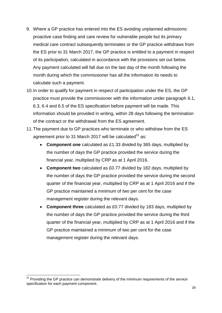- 9. Where a GP practice has entered into the ES avoiding unplanned admissions: proactive case finding and care review for vulnerable people but its primary medical care contract subsequently terminates or the GP practice withdraws from the ES prior to 31 March 2017, the GP practice is entitled to a payment in respect of its participation, calculated in accordance with the provisions set out below. Any payment calculated will fall due on the last day of the month following the month during which the commissioner has all the information its needs to calculate such a payment.
- 10.In order to qualify for payment in respect of participation under the ES, the GP practice must provide the commissioner with the information under paragraph 6.1, 6.3, 6.4 and 6.5 of the ES specification before payment will be made. This information should be provided in writing, within 28 days following the termination of the contract or the withdrawal from the ES agreement.
- 11.The payment due to GP practices who terminate or who withdraw from the ES agreement prior to 31 March 2017 will be calculated  $31$  as:
	- **Component one** calculated as £1.33 divided by 365 days, multiplied by the number of days the GP practice provided the service during the financial year, multiplied by CRP as at 1 April 2016.
	- **Component two** calculated as £0.77 divided by 182 days, multiplied by the number of days the GP practice provided the service during the second quarter of the financial year, multiplied by CRP as at 1 April 2016 and if the GP practice maintained a minimum of two per cent for the case management register during the relevant days.
	- **Component three** calculated as £0.77 divided by 183 days, multiplied by the number of days the GP practice provided the service during the third quarter of the financial year, multiplied by CRP as at 1 April 2016 and if the GP practice maintained a minimum of two per cent for the case management register during the relevant days.

l

 $31$  Providing the GP practice can demonstrate delivery of the minimum requirements of the service specification for each payment component.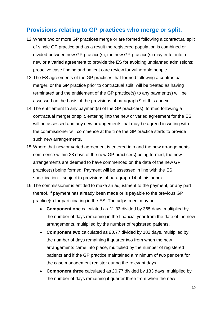#### **Provisions relating to GP practices who merge or split.**

- 12.Where two or more GP practices merge or are formed following a contractual split of single GP practice and as a result the registered population is combined or divided between new GP practice(s), the new GP practice(s) may enter into a new or a varied agreement to provide the ES for avoiding unplanned admissions: proactive case finding and patient care review for vulnerable people.
- 13.The ES agreements of the GP practices that formed following a contractual merger, or the GP practice prior to contractual split, will be treated as having terminated and the entitlement of the GP practice(s) to any payment(s) will be assessed on the basis of the provisions of paragraph 9 of this annex.
- 14.The entitlement to any payment(s) of the GP practice(s), formed following a contractual merger or split, entering into the new or varied agreement for the ES, will be assessed and any new arrangements that may be agreed in writing with the commissioner will commence at the time the GP practice starts to provide such new arrangements.
- 15.Where that new or varied agreement is entered into and the new arrangements commence within 28 days of the new GP practice(s) being formed, the new arrangements are deemed to have commenced on the date of the new GP practice(s) being formed. Payment will be assessed in line with the ES specification – subject to provisions of paragraph 14 of this annex.
- 16.The commissioner is entitled to make an adjustment to the payment, or any part thereof, if payment has already been made or is payable to the previous GP practice(s) for participating in the ES. The adjustment may be:
	- **Component one** calculated as £1.33 divided by 365 days, multiplied by the number of days remaining in the financial year from the date of the new arrangements, multiplied by the number of registered patients.
	- **Component two** calculated as £0.77 divided by 182 days, multiplied by the number of days remaining if quarter two from when the new arrangements came into place, multiplied by the number of registered patients and if the GP practice maintained a minimum of two per cent for the case management register during the relevant days.
	- **Component three** calculated as £0.77 divided by 183 days, multiplied by the number of days remaining if quarter three from when the new